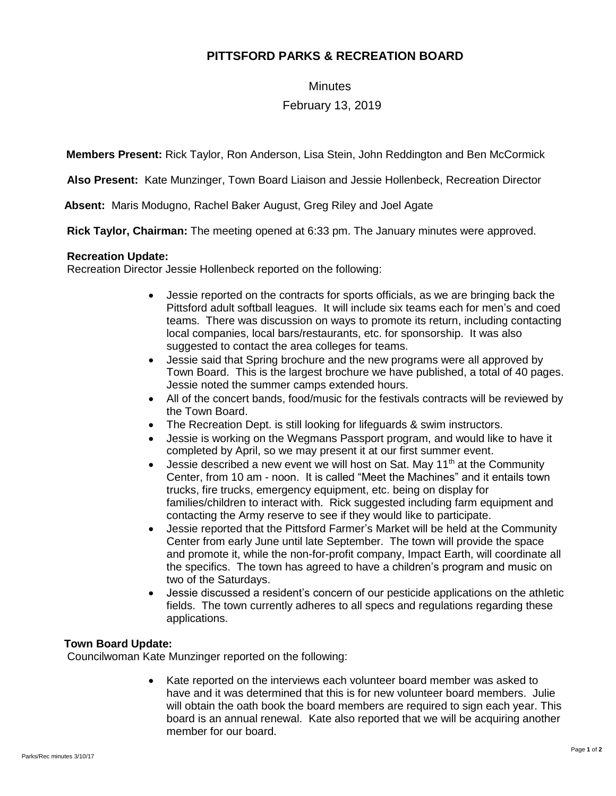# **PITTSFORD PARKS & RECREATION BOARD**

#### **Minutes**

# February 13, 2019

**Members Present:** Rick Taylor, Ron Anderson, Lisa Stein, John Reddington and Ben McCormick

**Also Present:** Kate Munzinger, Town Board Liaison and Jessie Hollenbeck, Recreation Director

 **Absent:** Maris Modugno, Rachel Baker August, Greg Riley and Joel Agate

**Rick Taylor, Chairman:** The meeting opened at 6:33 pm. The January minutes were approved.

#### **Recreation Update:**

Recreation Director Jessie Hollenbeck reported on the following:

- Jessie reported on the contracts for sports officials, as we are bringing back the Pittsford adult softball leagues. It will include six teams each for men's and coed teams. There was discussion on ways to promote its return, including contacting local companies, local bars/restaurants, etc. for sponsorship. It was also suggested to contact the area colleges for teams.
- Jessie said that Spring brochure and the new programs were all approved by Town Board. This is the largest brochure we have published, a total of 40 pages. Jessie noted the summer camps extended hours.
- All of the concert bands, food/music for the festivals contracts will be reviewed by the Town Board.
- The Recreation Dept. is still looking for lifeguards & swim instructors.
- Jessie is working on the Wegmans Passport program, and would like to have it completed by April, so we may present it at our first summer event.
- Jessie described a new event we will host on Sat. May  $11<sup>th</sup>$  at the Community Center, from 10 am - noon. It is called "Meet the Machines" and it entails town trucks, fire trucks, emergency equipment, etc. being on display for families/children to interact with. Rick suggested including farm equipment and contacting the Army reserve to see if they would like to participate.
- Jessie reported that the Pittsford Farmer's Market will be held at the Community Center from early June until late September. The town will provide the space and promote it, while the non-for-profit company, Impact Earth, will coordinate all the specifics. The town has agreed to have a children's program and music on two of the Saturdays.
- Jessie discussed a resident's concern of our pesticide applications on the athletic fields. The town currently adheres to all specs and regulations regarding these applications.

## **Town Board Update:**

Councilwoman Kate Munzinger reported on the following:

• Kate reported on the interviews each volunteer board member was asked to have and it was determined that this is for new volunteer board members. Julie will obtain the oath book the board members are required to sign each year. This board is an annual renewal. Kate also reported that we will be acquiring another member for our board.